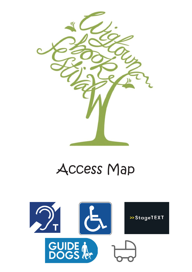

# Access Map

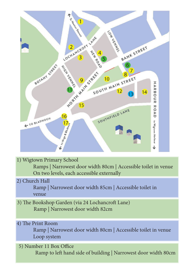

1) Wigtown Primary School

 Ramps | Narrowest door width 80cm | Accessible toilet in venue On two levels, each accessible externally

2) Church Hall

Ramp | Narrowest door width 85cm | Accessible toilet in venue

- 3) The Bookshop Garden (via 24 Lochancroft Lane) Ramp | Narrowest door width 82cm
- 4) The Print Room

Ramp | Narrowest door width 80cm | Accessible toilet in venue Loop system

5) Number 11 Box Office

Ramp to left hand side of building | Narrowest door width 80cm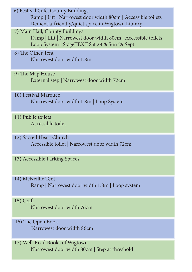6) Festival Cafe, County Buildings

Ramp | Lift | Narrowest door width 80cm | Accessible toilets Dementia-friendly/quiet space in Wigtown Library

7) Main Hall, County Buildings

Ramp | Lift | Narrowest door width 80cm | Accessible toilets Loop System | StageTEXT Sat 28 & Sun 29 Sept

- 8) The Other Tent Narrowest door width 1.8m
- 9) The Map House External step | Narrowest door width 72cm
- 10) Festival Marquee Narrowest door width 1.8m | Loop System
- 11) Public toilets Accessible toilet
- 12) Sacred Heart Church Accessible toilet | Narrowest door width 72cm
- 13) Accessible Parking Spaces
- 14) McNeillie Tent Ramp | Narrowest door width 1.8m | Loop system

#### 15) Craft

Narrowest door width 76cm

- 16) The Open Book Narrowest door width 86cm
- 17) Well-Read Books of Wigtown Narrowest door width 80cm | Step at threshold